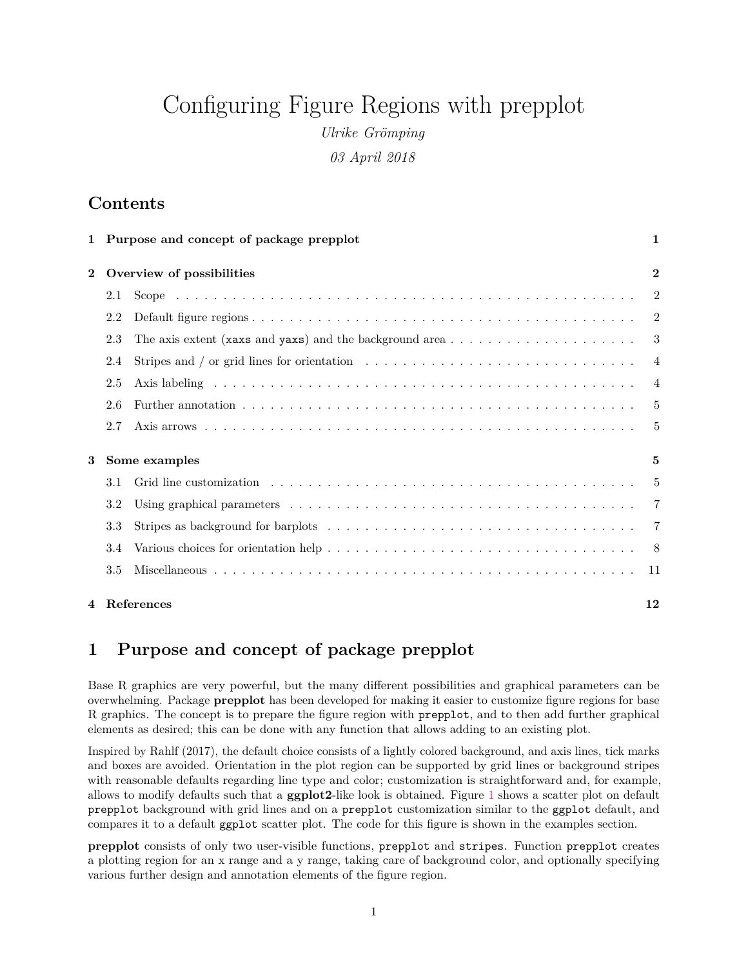# Configuring Figure Regions with prepplot

*Ulrike Grömping*

*03 April 2018*

# **Contents**

|              |                           | 1 Purpose and concept of package prepplot                                                                            | 1              |
|--------------|---------------------------|----------------------------------------------------------------------------------------------------------------------|----------------|
| $\mathbf{2}$ | Overview of possibilities |                                                                                                                      |                |
|              | 2.1                       |                                                                                                                      | 2              |
|              | 2.2                       |                                                                                                                      | $\overline{2}$ |
|              | 2.3                       |                                                                                                                      | 3              |
|              | 2.4                       |                                                                                                                      | $\overline{4}$ |
|              | 2.5                       |                                                                                                                      | $\overline{4}$ |
|              | 2.6                       |                                                                                                                      | 5              |
|              | 2.7                       |                                                                                                                      | $\frac{5}{2}$  |
| 3            | Some examples             |                                                                                                                      | 5              |
|              | 3.1                       | Grid line customization $\ldots \ldots \ldots \ldots \ldots \ldots \ldots \ldots \ldots \ldots \ldots \ldots \ldots$ | 5              |
|              | 3.2                       |                                                                                                                      | $\overline{7}$ |
|              | 3.3                       |                                                                                                                      | 7              |
|              | 3.4                       |                                                                                                                      |                |
|              | 3.5                       |                                                                                                                      | -11            |
|              |                           | 4 References                                                                                                         | 12             |

# <span id="page-0-0"></span>**1 Purpose and concept of package prepplot**

Base R graphics are very powerful, but the many different possibilities and graphical parameters can be overwhelming. Package **prepplot** has been developed for making it easier to customize figure regions for base R graphics. The concept is to prepare the figure region with prepplot, and to then add further graphical elements as desired; this can be done with any function that allows adding to an existing plot.

Inspired by Rahlf (2017), the default choice consists of a lightly colored background, and axis lines, tick marks and boxes are avoided. Orientation in the plot region can be supported by grid lines or background stripes with reasonable defaults regarding line type and color; customization is straightforward and, for example, allows to modify defaults such that a **ggplot2**-like look is obtained. Figure [1](#page-1-3) shows a scatter plot on default prepplot background with grid lines and on a prepplot customization similar to the ggplot default, and compares it to a default ggplot scatter plot. The code for this figure is shown in the examples section.

**prepplot** consists of only two user-visible functions, prepplot and stripes. Function prepplot creates a plotting region for an x range and a y range, taking care of background color, and optionally specifying various further design and annotation elements of the figure region.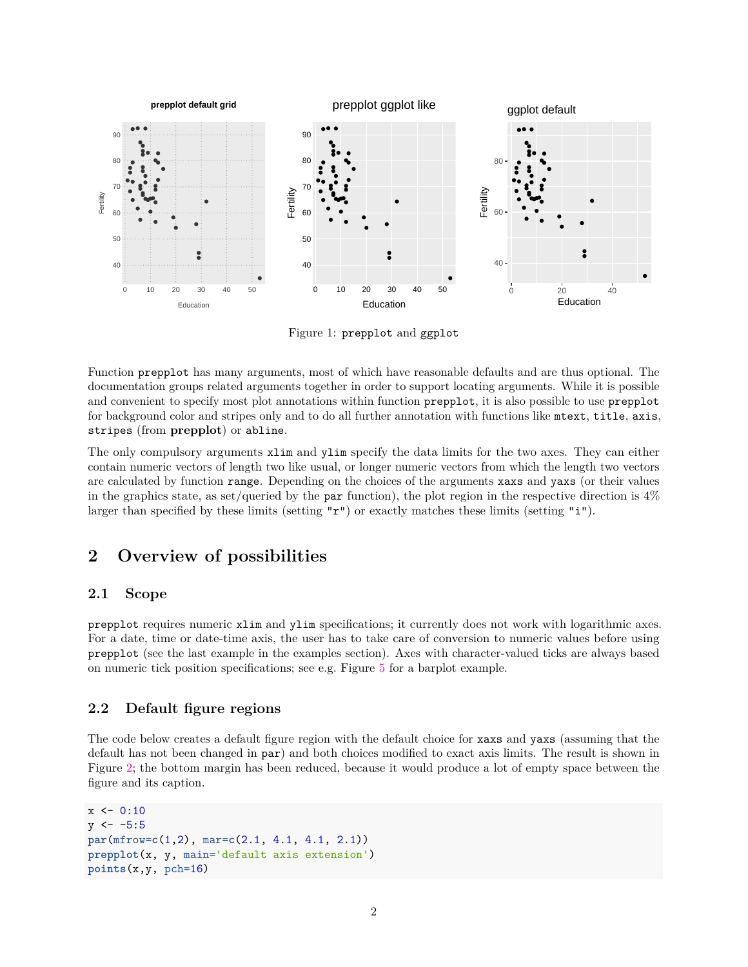

<span id="page-1-3"></span>Figure 1: prepplot and ggplot

Function prepplot has many arguments, most of which have reasonable defaults and are thus optional. The documentation groups related arguments together in order to support locating arguments. While it is possible and convenient to specify most plot annotations within function prepplot, it is also possible to use prepplot for background color and stripes only and to do all further annotation with functions like mtext, title, axis, stripes (from **prepplot**) or abline.

The only compulsory arguments xlim and ylim specify the data limits for the two axes. They can either contain numeric vectors of length two like usual, or longer numeric vectors from which the length two vectors are calculated by function range. Depending on the choices of the arguments xaxs and yaxs (or their values in the graphics state, as set/queried by the par function), the plot region in the respective direction is  $4\%$ larger than specified by these limits (setting  $\mathbf{r}^{\mathbf{r}}$ ) or exactly matches these limits (setting "i").

# <span id="page-1-0"></span>**2 Overview of possibilities**

### <span id="page-1-1"></span>**2.1 Scope**

prepplot requires numeric xlim and ylim specifications; it currently does not work with logarithmic axes. For a date, time or date-time axis, the user has to take care of conversion to numeric values before using prepplot (see the last example in the examples section). Axes with character-valued ticks are always based on numeric tick position specifications; see e.g. Figure [5](#page-8-0) for a barplot example.

### <span id="page-1-2"></span>**2.2 Default figure regions**

The code below creates a default figure region with the default choice for xaxs and yaxs (assuming that the default has not been changed in par) and both choices modified to exact axis limits. The result is shown in Figure [2;](#page-2-1) the bottom margin has been reduced, because it would produce a lot of empty space between the figure and its caption.

```
x \le -0:10y \le -5:5par(mfrow=c(1,2), mar=c(2.1, 4.1, 4.1, 2.1))
prepplot(x, y, main='default axis extension')
points(x,y, pch=16)
```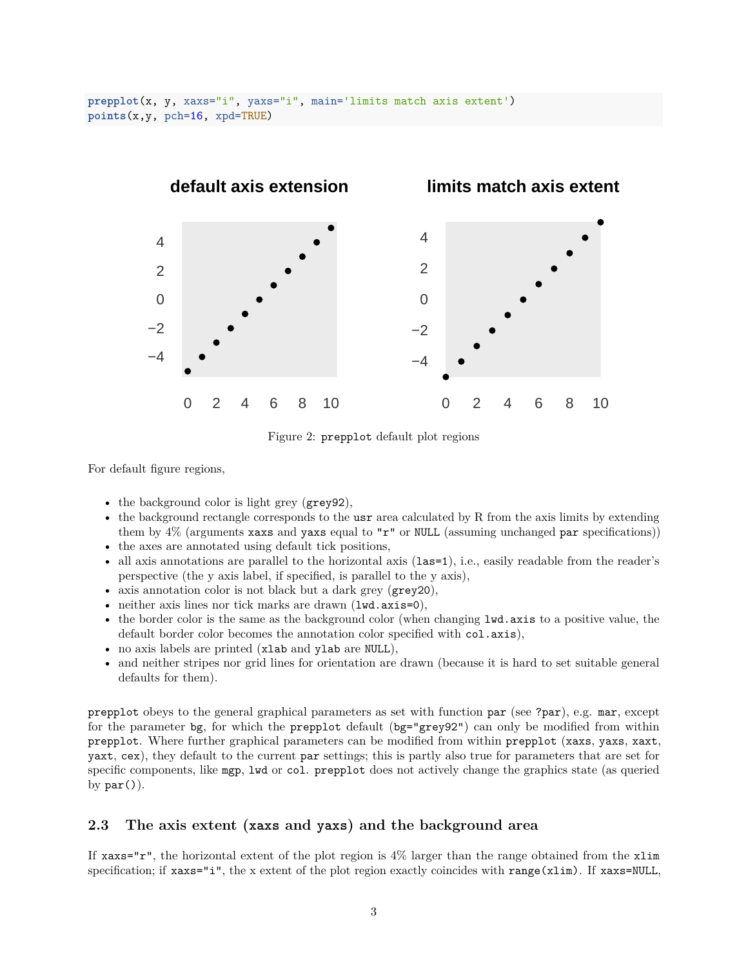

<span id="page-2-1"></span>Figure 2: prepplot default plot regions

For default figure regions,

- the background color is light grey (grey92),
- the background rectangle corresponds to the usr area calculated by R from the axis limits by extending them by 4% (arguments xaxs and yaxs equal to "r" or NULL (assuming unchanged par specifications))
- the axes are annotated using default tick positions,
- all axis annotations are parallel to the horizontal axis (1as=1), i.e., easily readable from the reader's perspective (the y axis label, if specified, is parallel to the y axis),
- axis annotation color is not black but a dark grey (grey20),
- neither axis lines nor tick marks are drawn (lwd.axis=0),
- the border color is the same as the background color (when changing lwd.axis to a positive value, the default border color becomes the annotation color specified with col.axis),
- no axis labels are printed (xlab and ylab are NULL),
- and neither stripes nor grid lines for orientation are drawn (because it is hard to set suitable general defaults for them).

prepplot obeys to the general graphical parameters as set with function par (see ?par), e.g. mar, except for the parameter bg, for which the prepplot default (bg="grey92") can only be modified from within prepplot. Where further graphical parameters can be modified from within prepplot (xaxs, yaxs, xaxt, yaxt, cex), they default to the current par settings; this is partly also true for parameters that are set for specific components, like mgp, lwd or col. prepplot does not actively change the graphics state (as queried by  $par()$ .

### <span id="page-2-0"></span>**2.3 The axis extent (xaxs and yaxs) and the background area**

If  $x$ axs="r", the horizontal extent of the plot region is 4% larger than the range obtained from the  $x$ lim specification; if xaxs="i", the x extent of the plot region exactly coincides with range(xlim). If xaxs=NULL,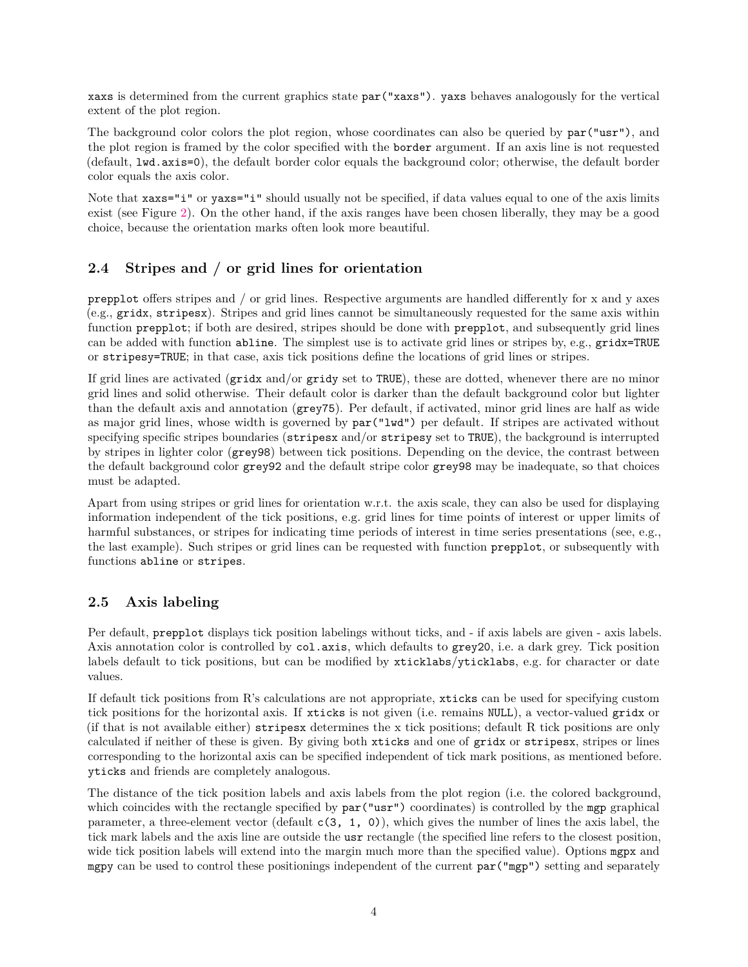xaxs is determined from the current graphics state par("xaxs"). yaxs behaves analogously for the vertical extent of the plot region.

The background color colors the plot region, whose coordinates can also be queried by  $par("usr")$ , and the plot region is framed by the color specified with the border argument. If an axis line is not requested (default, lwd.axis=0), the default border color equals the background color; otherwise, the default border color equals the axis color.

Note that  $x$ axs="i" or  $y$ axs="i" should usually not be specified, if data values equal to one of the axis limits exist (see Figure [2\)](#page-2-1). On the other hand, if the axis ranges have been chosen liberally, they may be a good choice, because the orientation marks often look more beautiful.

### <span id="page-3-0"></span>**2.4 Stripes and / or grid lines for orientation**

prepplot offers stripes and / or grid lines. Respective arguments are handled differently for x and y axes (e.g., gridx, stripesx). Stripes and grid lines cannot be simultaneously requested for the same axis within function prepplot; if both are desired, stripes should be done with prepplot, and subsequently grid lines can be added with function abline. The simplest use is to activate grid lines or stripes by, e.g., gridx=TRUE or stripesy=TRUE; in that case, axis tick positions define the locations of grid lines or stripes.

If grid lines are activated (gridx and/or gridy set to TRUE), these are dotted, whenever there are no minor grid lines and solid otherwise. Their default color is darker than the default background color but lighter than the default axis and annotation (grey75). Per default, if activated, minor grid lines are half as wide as major grid lines, whose width is governed by par("lwd") per default. If stripes are activated without specifying specific stripes boundaries (stripesx and/or stripesy set to TRUE), the background is interrupted by stripes in lighter color (grey98) between tick positions. Depending on the device, the contrast between the default background color grey92 and the default stripe color grey98 may be inadequate, so that choices must be adapted.

Apart from using stripes or grid lines for orientation w.r.t. the axis scale, they can also be used for displaying information independent of the tick positions, e.g. grid lines for time points of interest or upper limits of harmful substances, or stripes for indicating time periods of interest in time series presentations (see, e.g., the last example). Such stripes or grid lines can be requested with function prepplot, or subsequently with functions abline or stripes.

### <span id="page-3-1"></span>**2.5 Axis labeling**

Per default, prepplot displays tick position labelings without ticks, and - if axis labels are given - axis labels. Axis annotation color is controlled by col.axis, which defaults to grey20, i.e. a dark grey. Tick position labels default to tick positions, but can be modified by xticklabs/yticklabs, e.g. for character or date values.

If default tick positions from R's calculations are not appropriate, xticks can be used for specifying custom tick positions for the horizontal axis. If xticks is not given (i.e. remains NULL), a vector-valued gridx or (if that is not available either) stripesx determines the x tick positions; default R tick positions are only calculated if neither of these is given. By giving both xticks and one of gridx or stripesx, stripes or lines corresponding to the horizontal axis can be specified independent of tick mark positions, as mentioned before. yticks and friends are completely analogous.

The distance of the tick position labels and axis labels from the plot region (i.e. the colored background, which coincides with the rectangle specified by  $par("usr")$  coordinates) is controlled by the mgp graphical parameter, a three-element vector (default  $c(3, 1, 0)$ ), which gives the number of lines the axis label, the tick mark labels and the axis line are outside the usr rectangle (the specified line refers to the closest position, wide tick position labels will extend into the margin much more than the specified value). Options mgpx and mgpy can be used to control these positionings independent of the current par("mgp") setting and separately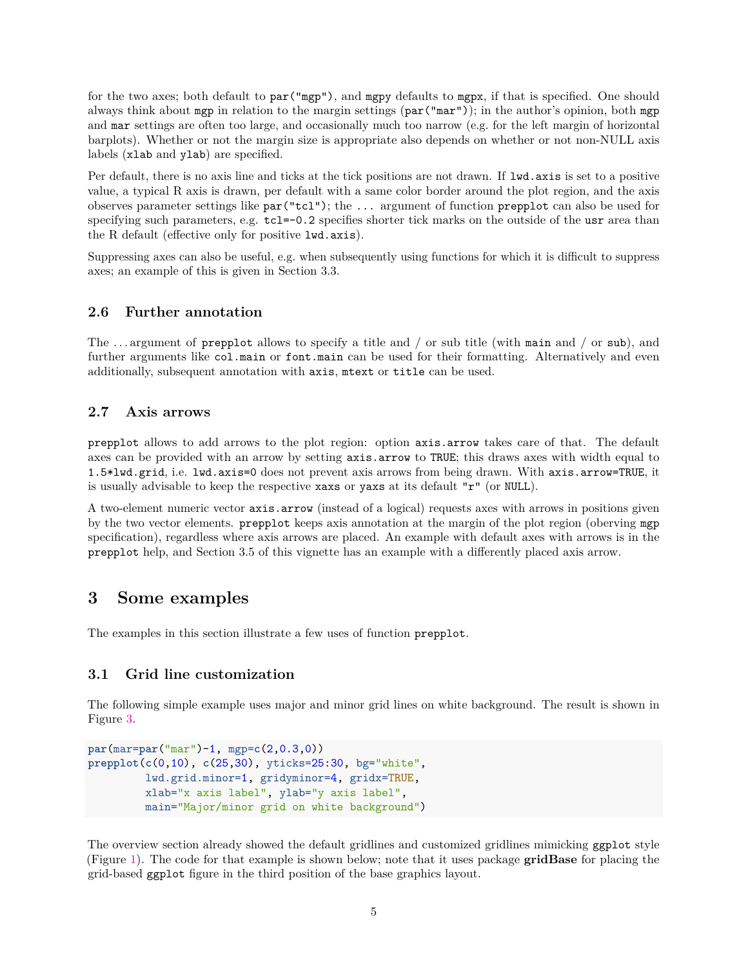for the two axes; both default to par("mgp"), and mgpy defaults to mgpx, if that is specified. One should always think about mgp in relation to the margin settings (par("mar")); in the author's opinion, both mgp and mar settings are often too large, and occasionally much too narrow (e.g. for the left margin of horizontal barplots). Whether or not the margin size is appropriate also depends on whether or not non-NULL axis labels (xlab and ylab) are specified.

Per default, there is no axis line and ticks at the tick positions are not drawn. If lwd.axis is set to a positive value, a typical R axis is drawn, per default with a same color border around the plot region, and the axis observes parameter settings like par("tcl"); the ... argument of function prepplot can also be used for specifying such parameters, e.g.  $tcl=-0.2$  specifies shorter tick marks on the outside of the usr area than the R default (effective only for positive lwd.axis).

Suppressing axes can also be useful, e.g. when subsequently using functions for which it is difficult to suppress axes; an example of this is given in Section 3.3.

#### <span id="page-4-0"></span>**2.6 Further annotation**

The . . . argument of prepplot allows to specify a title and / or sub title (with main and / or sub), and further arguments like  $col.mainloop$  main or font.main can be used for their formatting. Alternatively and even additionally, subsequent annotation with axis, mtext or title can be used.

### <span id="page-4-1"></span>**2.7 Axis arrows**

prepplot allows to add arrows to the plot region: option axis.arrow takes care of that. The default axes can be provided with an arrow by setting axis.arrow to TRUE; this draws axes with width equal to 1.5\*lwd.grid, i.e. lwd.axis=0 does not prevent axis arrows from being drawn. With axis.arrow=TRUE, it is usually advisable to keep the respective xaxs or yaxs at its default "r" (or NULL).

A two-element numeric vector axis.arrow (instead of a logical) requests axes with arrows in positions given by the two vector elements. prepplot keeps axis annotation at the margin of the plot region (oberving mgp specification), regardless where axis arrows are placed. An example with default axes with arrows is in the prepplot help, and Section 3.5 of this vignette has an example with a differently placed axis arrow.

### <span id="page-4-2"></span>**3 Some examples**

The examples in this section illustrate a few uses of function prepplot.

#### <span id="page-4-3"></span>**3.1 Grid line customization**

The following simple example uses major and minor grid lines on white background. The result is shown in Figure [3.](#page-5-0)

```
par(mar=par("mar")-1, mgp=c(2,0.3,0))
prepplot(c(0,10), c(25,30), yticks=25:30, bg="white",
         lwd.grid.minor=1, gridyminor=4, gridx=TRUE,
         xlab="x axis label", ylab="y axis label",
         main="Major/minor grid on white background")
```
The overview section already showed the default gridlines and customized gridlines mimicking ggplot style (Figure [1\)](#page-1-3). The code for that example is shown below; note that it uses package **gridBase** for placing the grid-based ggplot figure in the third position of the base graphics layout.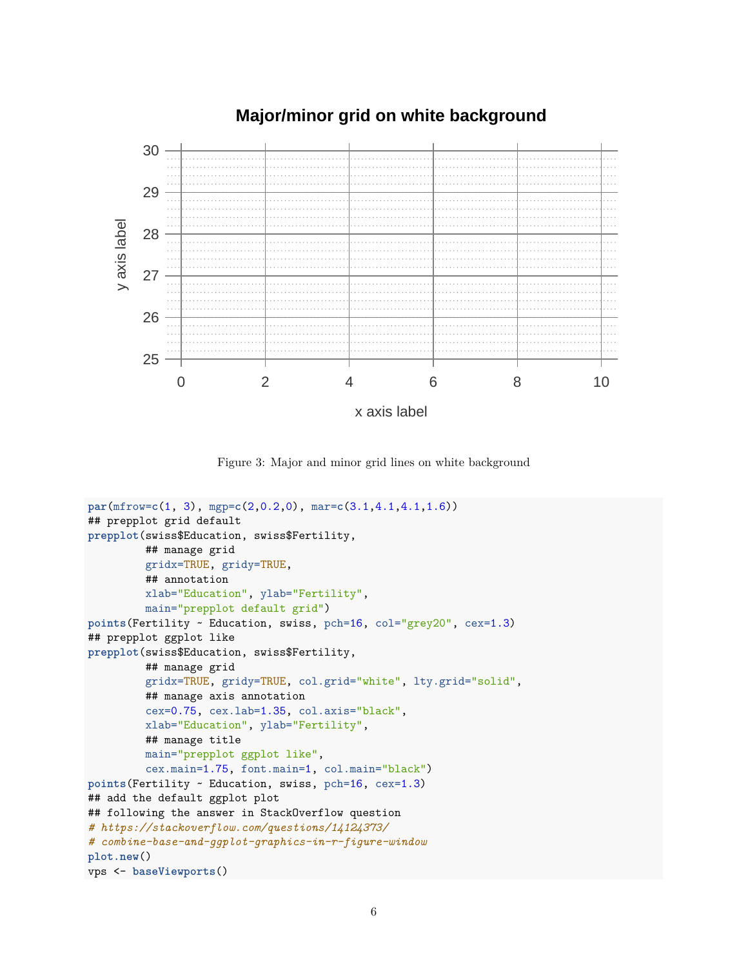### **Major/minor grid on white background**



x axis label

<span id="page-5-0"></span>Figure 3: Major and minor grid lines on white background

```
par(mfrow=c(1, 3), mgp=c(2,0.2,0), mar=c(3.1,4.1,4.1,1.6))
## prepplot grid default
prepplot(swiss$Education, swiss$Fertility,
         ## manage grid
         gridx=TRUE, gridy=TRUE,
         ## annotation
         xlab="Education", ylab="Fertility",
         main="prepplot default grid")
points(Fertility ~ Education, swiss, pch=16, col="grey20", cex=1.3)
## prepplot ggplot like
prepplot(swiss$Education, swiss$Fertility,
         ## manage grid
         gridx=TRUE, gridy=TRUE, col.grid="white", lty.grid="solid",
         ## manage axis annotation
         cex=0.75, cex.lab=1.35, col.axis="black",
         xlab="Education", ylab="Fertility",
         ## manage title
         main="prepplot ggplot like",
         cex.main=1.75, font.main=1, col.main="black")
points(Fertility ~ Education, swiss, pch=16, cex=1.3)
## add the default ggplot plot
## following the answer in StackOverflow question
# https://stackoverflow.com/questions/14124373/
# combine-base-and-ggplot-graphics-in-r-figure-window
plot.new()
vps <- baseViewports()
```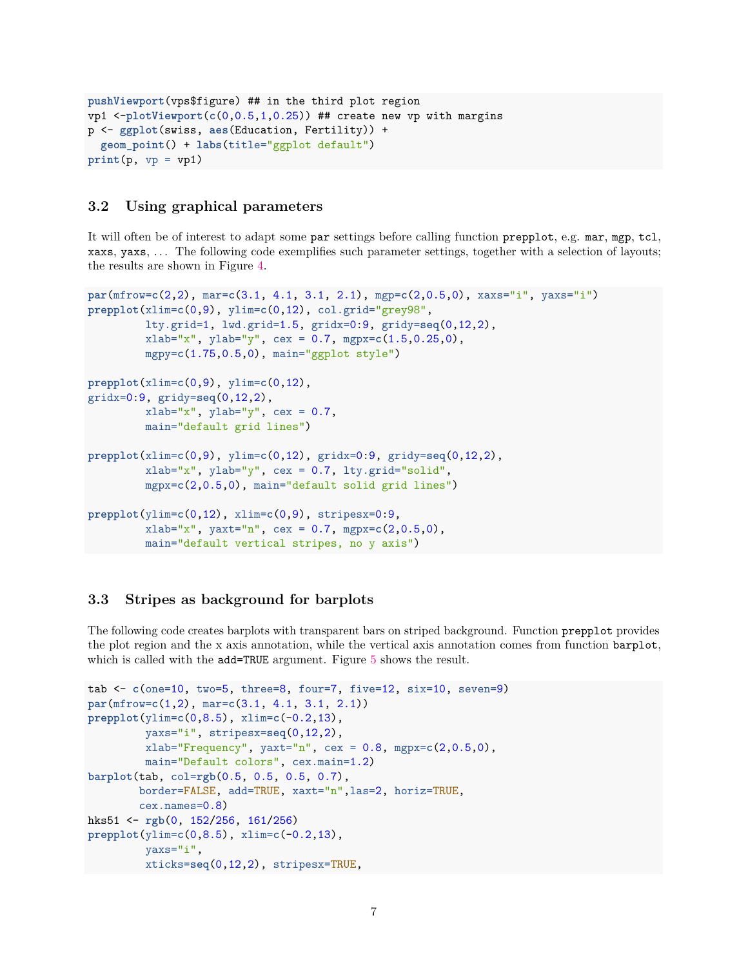```
pushViewport(vps$figure) ## in the third plot region
vp1 <-plotViewport(c(0,0.5,1,0.25)) ## create new vp with margins
p <- ggplot(swiss, aes(Education, Fertility)) +
  geom_point() + labs(title="ggplot default")
print(p, vp = vp1)
```
### <span id="page-6-0"></span>**3.2 Using graphical parameters**

It will often be of interest to adapt some par settings before calling function prepplot, e.g. mar, mgp, tcl, xaxs, yaxs, . . . The following code exemplifies such parameter settings, together with a selection of layouts; the results are shown in Figure [4.](#page-7-1)

```
par(mfrow=c(2,2), mar=c(3.1, 4.1, 3.1, 2.1), mgp=c(2,0.5,0), xaxs="i", yaxs="i")
prepplot(xlim=c(0,9), ylim=c(0,12), col.grid="grey98",
         lty.grid=1, lwd.grid=1.5, gridx=0:9, gridy=seq(0,12,2),
         xlab="x", ylab="y", cex = 0.7, mgpx=c(1.5,0.25,0),
         mgpy=c(1.75,0.5,0), main="ggplot style")
prepplot(xlim=c(0,9), ylim=c(0,12),
gridx=0:9, gridy=seq(0,12,2),
         xlab="x", ylab="y", cex = 0.7,
         main="default grid lines")
prepplot(xlim=c(0,9), ylim=c(0,12), gridx=0:9, gridy=seq(0,12,2),
         xlab="x", ylab="y", cex = 0.7, lty.grid="solid",
         mgpx=c(2,0.5,0), main="default solid grid lines")
prepplot(ylim=c(0,12), xlim=c(0,9), stripesx=0:9,
         xlab="x", yaxt="n", cex = 0.7, mgpx=c(2,0.5,0),
         main="default vertical stripes, no y axis")
```
#### <span id="page-6-1"></span>**3.3 Stripes as background for barplots**

The following code creates barplots with transparent bars on striped background. Function prepplot provides the plot region and the x axis annotation, while the vertical axis annotation comes from function barplot, which is called with the add=TRUE argument. Figure [5](#page-8-0) shows the result.

```
tab <- c(one=10, two=5, three=8, four=7, five=12, six=10, seven=9)
par(mfrow=c(1,2), mar=c(3.1, 4.1, 3.1, 2.1))
prepplot(ylim=c(0,8.5), xlim=c(-0.2,13),
         yaxs="i", stripesx=seq(0,12,2),
         xlab="Frequency", yaxt="n", cex = 0.8, mgpx=c(2,0.5,0),
         main="Default colors", cex.main=1.2)
barplot(tab, col=rgb(0.5, 0.5, 0.5, 0.7),
        border=FALSE, add=TRUE, xaxt="n",las=2, horiz=TRUE,
        cex.names=0.8)
hks51 <- rgb(0, 152/256, 161/256)
prepplot(ylim=c(0,8.5), xlim=c(-0.2,13),
         yaxs="i",
         xticks=seq(0,12,2), stripesx=TRUE,
```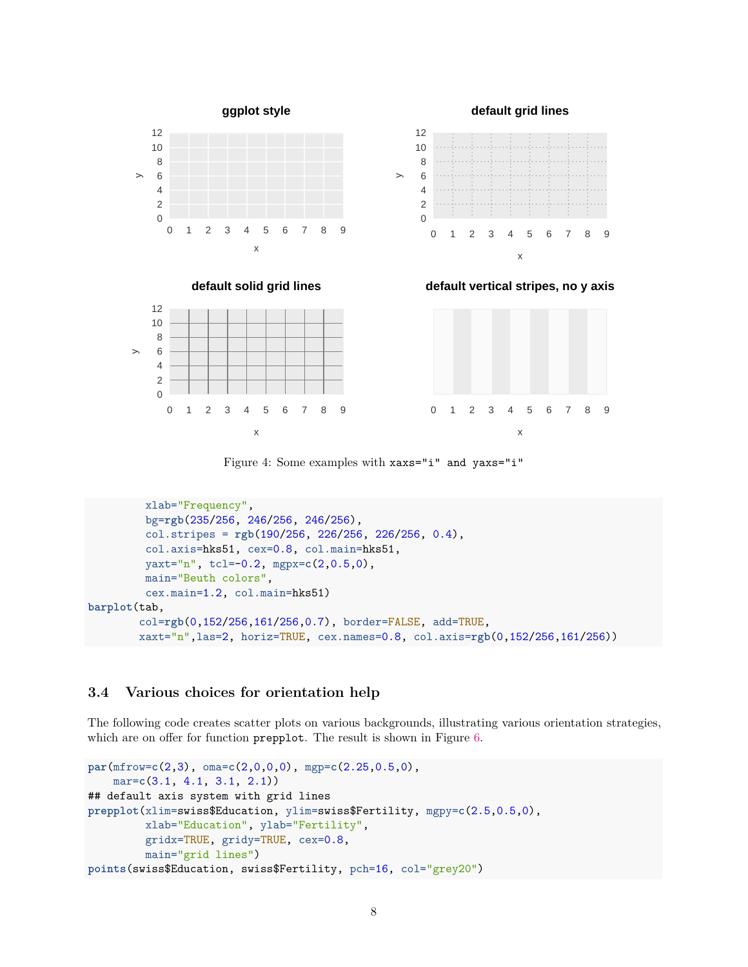





0 1 2 3 4 5 6 7 8 9

<span id="page-7-1"></span>x

 $\mathord{>}$ 





Figure 4: Some examples with xaxs="i" and yaxs="i"

```
xlab="Frequency",
         bg=rgb(235/256, 246/256, 246/256),
         col.stripes = rgb(190/256, 226/256, 226/256, 0.4),
         col.axis=hks51, cex=0.8, col.main=hks51,
         yaxt="n", tcl=-0.2, mgpx=c(2,0.5,0),
         main="Beuth colors",
         cex.main=1.2, col.main=hks51)
barplot(tab,
        col=rgb(0,152/256,161/256,0.7), border=FALSE, add=TRUE,
        xaxt="n",las=2, horiz=TRUE, cex.names=0.8, col.axis=rgb(0,152/256,161/256))
```
#### <span id="page-7-0"></span>**3.4 Various choices for orientation help**

The following code creates scatter plots on various backgrounds, illustrating various orientation strategies, which are on offer for function **prepplot**. The result is shown in Figure [6.](#page-9-0)

```
par(mfrow=c(2,3), oma=c(2,0,0,0), mgp=c(2.25,0.5,0),
   mar=c(3.1, 4.1, 3.1, 2.1))
## default axis system with grid lines
prepplot(xlim=swiss$Education, ylim=swiss$Fertility, mgpy=c(2.5,0.5,0),
         xlab="Education", ylab="Fertility",
         gridx=TRUE, gridy=TRUE, cex=0.8,
         main="grid lines")
points(swiss$Education, swiss$Fertility, pch=16, col="grey20")
```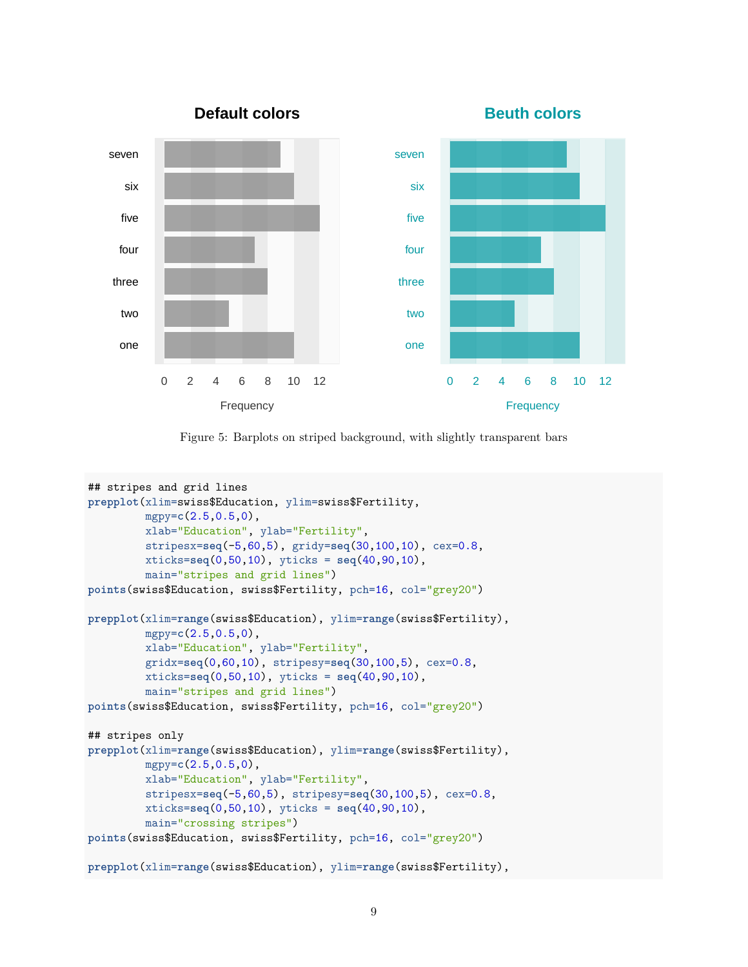

<span id="page-8-0"></span>Figure 5: Barplots on striped background, with slightly transparent bars

```
## stripes and grid lines
prepplot(xlim=swiss$Education, ylim=swiss$Fertility,
         mgpy=c(2.5,0.5,0),
         xlab="Education", ylab="Fertility",
         stripesx=seq(-5,60,5), gridy=seq(30,100,10), cex=0.8,
         xticks=seq(0,50,10), yticks = seq(40,90,10),
         main="stripes and grid lines")
points(swiss$Education, swiss$Fertility, pch=16, col="grey20")
prepplot(xlim=range(swiss$Education), ylim=range(swiss$Fertility),
         mgpy=c(2.5,0.5,0),
         xlab="Education", ylab="Fertility",
         gridx=seq(0,60,10), stripesy=seq(30,100,5), cex=0.8,
         xticks=seq(0,50,10), yticks = seq(40,90,10),
         main="stripes and grid lines")
points(swiss$Education, swiss$Fertility, pch=16, col="grey20")
## stripes only
prepplot(xlim=range(swiss$Education), ylim=range(swiss$Fertility),
         mgpy=c(2.5,0.5,0),
         xlab="Education", ylab="Fertility",
         stripesx=seq(-5,60,5), stripesy=seq(30,100,5), cex=0.8,
         xticks=seq(0,50,10), yticks = seq(40,90,10),
         main="crossing stripes")
points(swiss$Education, swiss$Fertility, pch=16, col="grey20")
prepplot(xlim=range(swiss$Education), ylim=range(swiss$Fertility),
```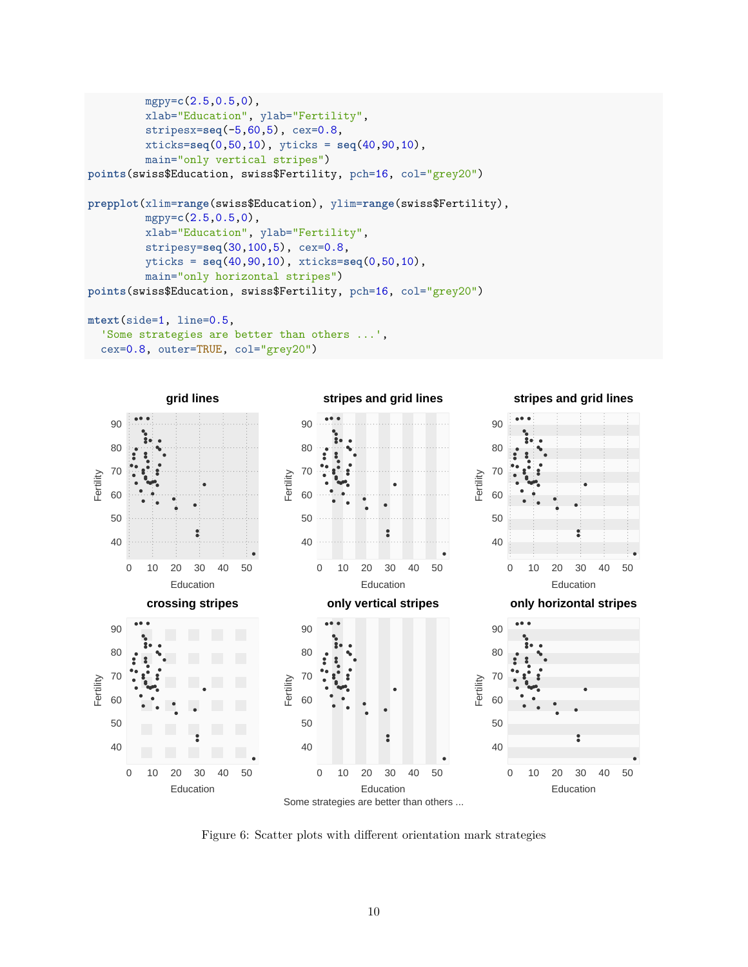```
mgpy=c(2.5,0.5,0),
         xlab="Education", ylab="Fertility",
         stripesx=seq(-5,60,5), cex=0.8,
         xticks=seq(0,50,10), yticks = seq(40,90,10),
         main="only vertical stripes")
points(swiss$Education, swiss$Fertility, pch=16, col="grey20")
prepplot(xlim=range(swiss$Education), ylim=range(swiss$Fertility),
         mgpy=c(2.5,0.5,0),
         xlab="Education", ylab="Fertility",
         stripesy=seq(30,100,5), cex=0.8,
         yticks = seq(40,90,10), xticks=seq(0,50,10),
         main="only horizontal stripes")
points(swiss$Education, swiss$Fertility, pch=16, col="grey20")
mtext(side=1, line=0.5,
  'Some strategies are better than others ...',
  cex=0.8, outer=TRUE, col="grey20")
```


<span id="page-9-0"></span>Figure 6: Scatter plots with different orientation mark strategies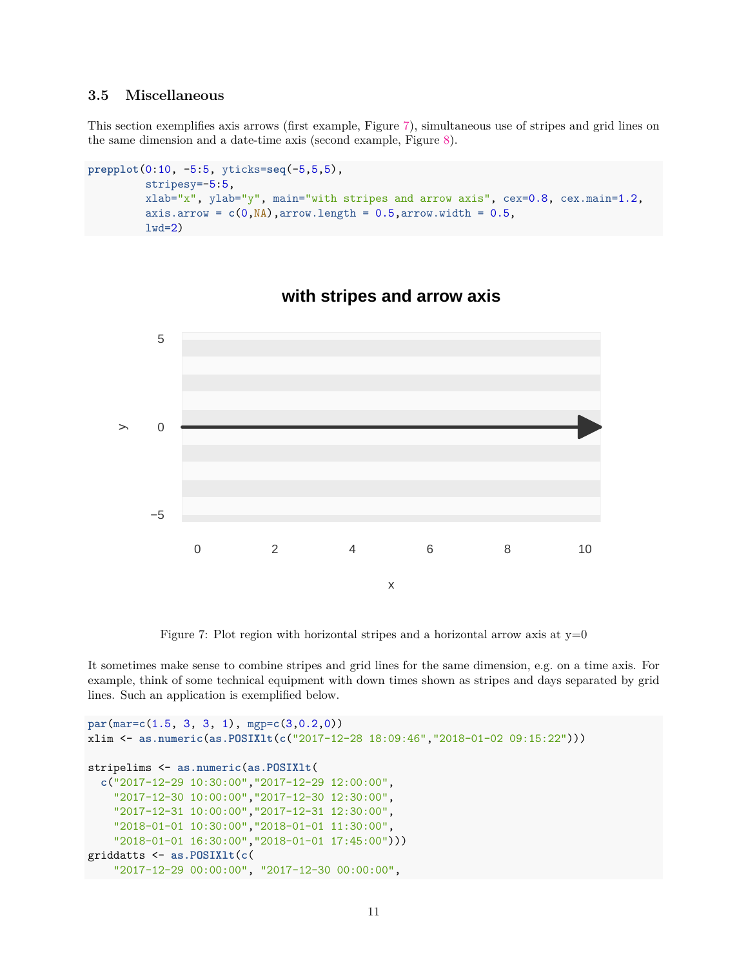#### <span id="page-10-0"></span>**3.5 Miscellaneous**

This section exemplifies axis arrows (first example, Figure [7\)](#page-10-1), simultaneous use of stripes and grid lines on the same dimension and a date-time axis (second example, Figure [8\)](#page-11-1).

```
prepplot(0:10, -5:5, yticks=seq(-5,5,5),
         stripesy=-5:5,
         xlab="x", ylab="y", main="with stripes and arrow axis", cex=0.8, cex.main=1.2,
         axis.arrow = c(0, NA), arrow.length = 0.5, arrow.width = 0.5,
         1wd=2)
```


### **with stripes and arrow axis**

<span id="page-10-1"></span>Figure 7: Plot region with horizontal stripes and a horizontal arrow axis at  $y=0$ 

It sometimes make sense to combine stripes and grid lines for the same dimension, e.g. on a time axis. For example, think of some technical equipment with down times shown as stripes and days separated by grid lines. Such an application is exemplified below.

```
par(mar=c(1.5, 3, 3, 1), mgp=c(3,0.2,0))
xlim <- as.numeric(as.POSIXlt(c("2017-12-28 18:09:46","2018-01-02 09:15:22")))
stripelims <- as.numeric(as.POSIXlt(
  c("2017-12-29 10:30:00","2017-12-29 12:00:00",
    "2017-12-30 10:00:00","2017-12-30 12:30:00",
    "2017-12-31 10:00:00","2017-12-31 12:30:00",
    "2018-01-01 10:30:00","2018-01-01 11:30:00",
    "2018-01-01 16:30:00","2018-01-01 17:45:00")))
griddatts <- as.POSIXlt(c(
    "2017-12-29 00:00:00", "2017-12-30 00:00:00",
```